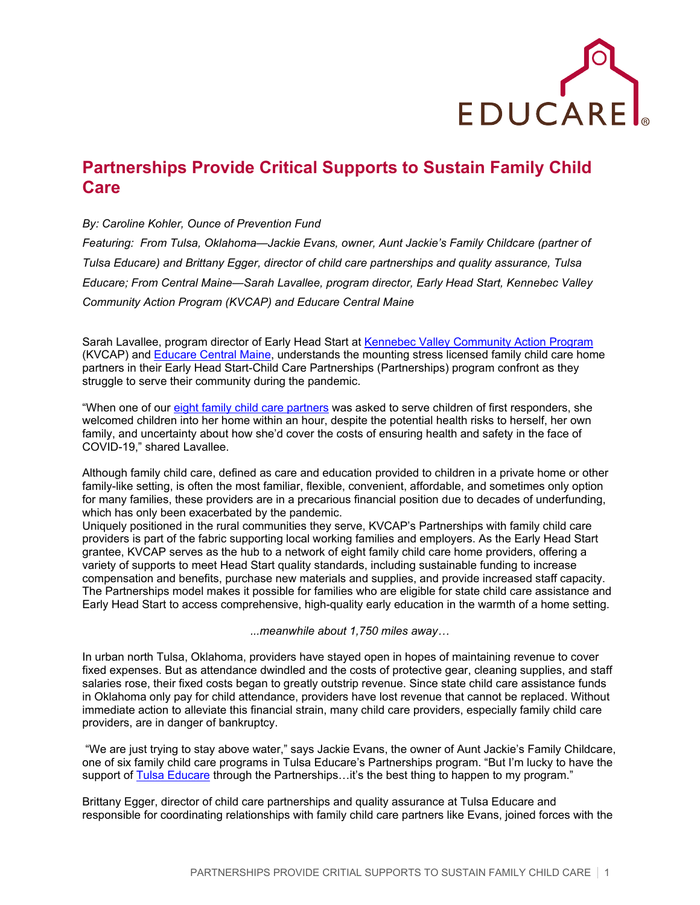

## **Partnerships Provide Critical Supports to Sustain Family Child Care**

## *By: Caroline Kohler, Ounce of Prevention Fund*

*Featuring: From Tulsa, Oklahoma—Jackie Evans, owner, Aunt Jackie's Family Childcare (partner of Tulsa Educare) and Brittany Egger, director of child care partnerships and quality assurance, Tulsa Educare; From Central Maine—Sarah Lavallee, program director, Early Head Start, Kennebec Valley Community Action Program (KVCAP) and Educare Central Maine*

Sarah Lavallee, program director of Early Head Start at [Kennebec Valley Community Action Program](https://www.kvcap.org/) (KVCAP) and [Educare Central Maine,](https://www.educarecentralmaine.org/) understands the mounting stress licensed family child care home partners in their Early Head Start-Child Care Partnerships (Partnerships) program confront as they struggle to serve their community during the pandemic.

"When one of our [eight family child care partners](https://www.kvcap.org/for-families/for-children/childcare-2/) was asked to serve children of first responders, she welcomed children into her home within an hour, despite the potential health risks to herself, her own family, and uncertainty about how she'd cover the costs of ensuring health and safety in the face of COVID-19," shared Lavallee.

Although family child care, defined as care and education provided to children in a private home or other family-like setting, is often the most familiar, flexible, convenient, affordable, and sometimes only option for many families, these providers are in a precarious financial position due to decades of underfunding, which has only been exacerbated by the pandemic.

Uniquely positioned in the rural communities they serve, KVCAP's Partnerships with family child care providers is part of the fabric supporting local working families and employers. As the Early Head Start grantee, KVCAP serves as the hub to a network of eight family child care home providers, offering a variety of supports to meet Head Start quality standards, including sustainable funding to increase compensation and benefits, purchase new materials and supplies, and provide increased staff capacity. The Partnerships model makes it possible for families who are eligible for state child care assistance and Early Head Start to access comprehensive, high-quality early education in the warmth of a home setting.

*...meanwhile about 1,750 miles away…*

In urban north Tulsa, Oklahoma, providers have stayed open in hopes of maintaining revenue to cover fixed expenses. But as attendance dwindled and the costs of protective gear, cleaning supplies, and staff salaries rose, their fixed costs began to greatly outstrip revenue. Since state child care assistance funds in Oklahoma only pay for child attendance, providers have lost revenue that cannot be replaced. Without immediate action to alleviate this financial strain, many child care providers, especially family child care providers, are in danger of bankruptcy.

"We are just trying to stay above water," says Jackie Evans, the owner of Aunt Jackie's Family Childcare, one of six family child care programs in Tulsa Educare's Partnerships program. "But I'm lucky to have the support of [Tulsa Educare](https://www.tulsaeducare.org/) through the Partnerships...it's the best thing to happen to my program."

Brittany Egger, director of child care partnerships and quality assurance at Tulsa Educare and responsible for coordinating relationships with family child care partners like Evans, joined forces with the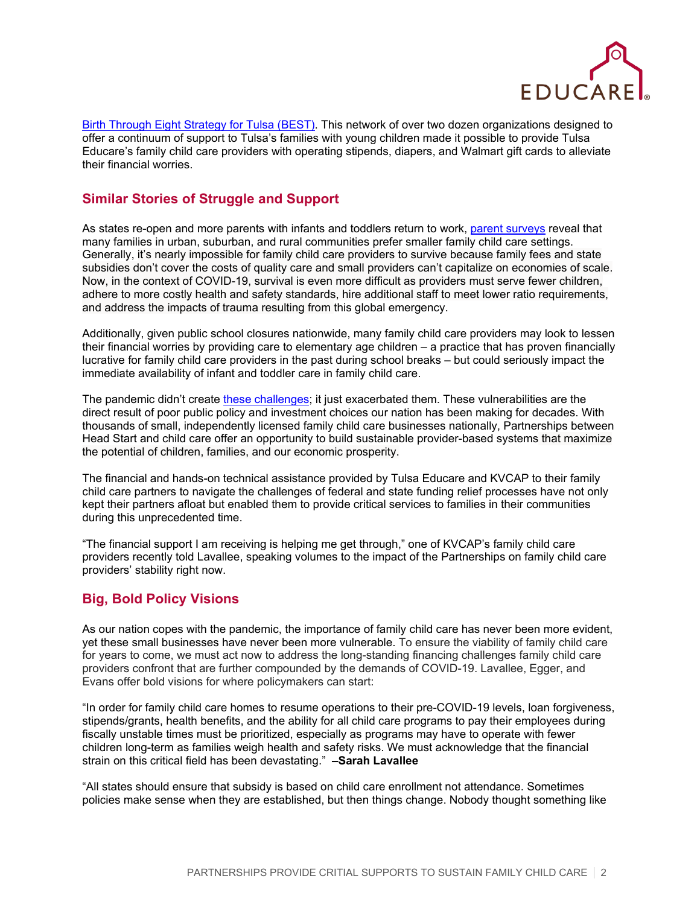

[Birth Through Eight Strategy for Tulsa \(BEST\).](https://www.gkff.org/what-we-do/birth-eight-strategy-tulsa/) This network of over two dozen organizations designed to offer a continuum of support to Tulsa's families with young children made it possible to provide Tulsa Educare's family child care providers with operating stipends, diapers, and Walmart gift cards to alleviate their financial worries.

## **Similar Stories of Struggle and Support**

As states re-open and more parents with infants and toddlers return to work, [parent surveys](https://bipartisanpolicy.org/blog/nationwide-survey-child-care-in-the-time-of-coronavirus/) reveal that many families in urban, suburban, and rural communities prefer smaller family child care settings. Generally, it's nearly impossible for family child care providers to survive because family fees and state subsidies don't cover the costs of quality care and small providers can't capitalize on economies of scale. Now, in the context of COVID-19, survival is even more difficult as providers must serve fewer children, adhere to more costly health and safety standards, hire additional staff to meet lower ratio requirements, and address the impacts of trauma resulting from this global emergency.

Additionally, given public school closures nationwide, many family child care providers may look to lessen their financial worries by providing care to elementary age children – a practice that has proven financially lucrative for family child care providers in the past during school breaks – but could seriously impact the immediate availability of infant and toddler care in family child care.

The pandemic didn't create [these challenges;](https://childcareta.acf.hhs.gov/grantees-providers/national-resources-family-child-care) it just exacerbated them. These vulnerabilities are the direct result of poor public policy and investment choices our nation has been making for decades. With thousands of small, independently licensed family child care businesses nationally, Partnerships between Head Start and child care offer an opportunity to build sustainable provider-based systems that maximize the potential of children, families, and our economic prosperity.

The financial and hands-on technical assistance provided by Tulsa Educare and KVCAP to their family child care partners to navigate the challenges of federal and state funding relief processes have not only kept their partners afloat but enabled them to provide critical services to families in their communities during this unprecedented time.

"The financial support I am receiving is helping me get through," one of KVCAP's family child care providers recently told Lavallee, speaking volumes to the impact of the Partnerships on family child care providers' stability right now.

## **Big, Bold Policy Visions**

As our nation copes with the pandemic, the importance of family child care has never been more evident, yet these small businesses have never been more vulnerable. To ensure the viability of family child care for years to come, we must act now to address the long-standing financing challenges family child care providers confront that are further compounded by the demands of COVID-19. Lavallee, Egger, and Evans offer bold visions for where policymakers can start:

"In order for family child care homes to resume operations to their pre-COVID-19 levels, loan forgiveness, stipends/grants, health benefits, and the ability for all child care programs to pay their employees during fiscally unstable times must be prioritized, especially as programs may have to operate with fewer children long-term as families weigh health and safety risks. We must acknowledge that the financial strain on this critical field has been devastating." **–Sarah Lavallee**

"All states should ensure that subsidy is based on child care enrollment not attendance. Sometimes policies make sense when they are established, but then things change. Nobody thought something like